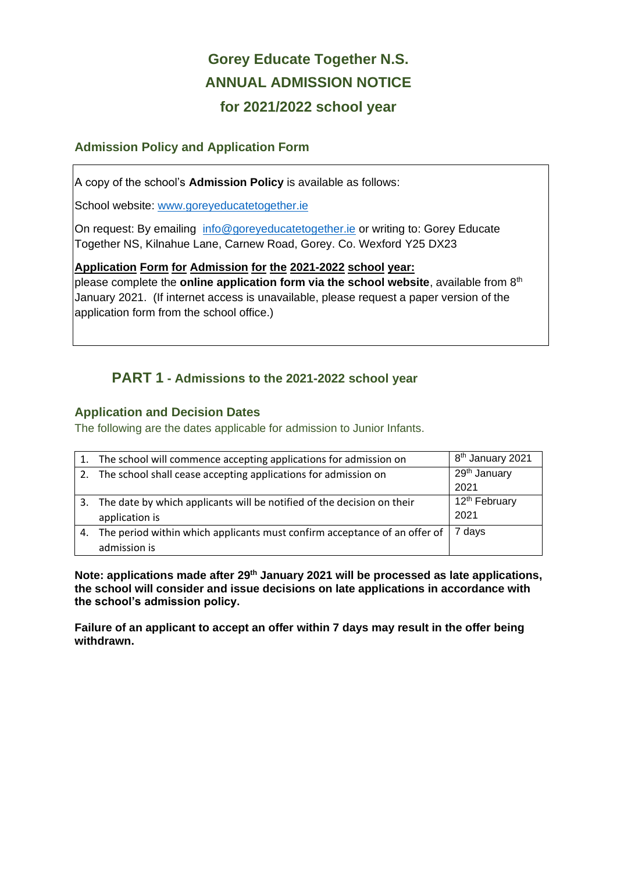## **Gorey Educate Together N.S. ANNUAL ADMISSION NOTICE for 2021/2022 school year**

#### **Admission Policy and Application Form**

A copy of the school's **Admission Policy** is available as follows:

School website: www.goreyeducatetogether.ie

On request: By emailing [info@goreyeducatetogether.ie](mailto:info@goreyeducatetogether.ie) or writing to: Gorey Educate Together NS, Kilnahue Lane, Carnew Road, Gorey. Co. Wexford Y25 DX23

#### **Application Form for Admission for the 2021-2022 school year:**

please complete the **online application form via the school website**, available from 8th January 2021. (If internet access is unavailable, please request a paper version of the application form from the school office.)

## **PART 1 - Admissions to the 2021-2022 school year**

#### **Application and Decision Dates**

The following are the dates applicable for admission to Junior Infants.

|    | The school will commence accepting applications for admission on          | 8 <sup>th</sup> January 2021 |
|----|---------------------------------------------------------------------------|------------------------------|
| 2. | The school shall cease accepting applications for admission on            | 29 <sup>th</sup> January     |
|    |                                                                           | 2021                         |
| 3. | The date by which applicants will be notified of the decision on their    | 12 <sup>th</sup> February    |
|    | application is                                                            | 2021                         |
| 4. | The period within which applicants must confirm acceptance of an offer of | 7 days                       |
|    | admission is                                                              |                              |

**Note: applications made after 29th January 2021 will be processed as late applications, the school will consider and issue decisions on late applications in accordance with the school's admission policy.**

**Failure of an applicant to accept an offer within 7 days may result in the offer being withdrawn.**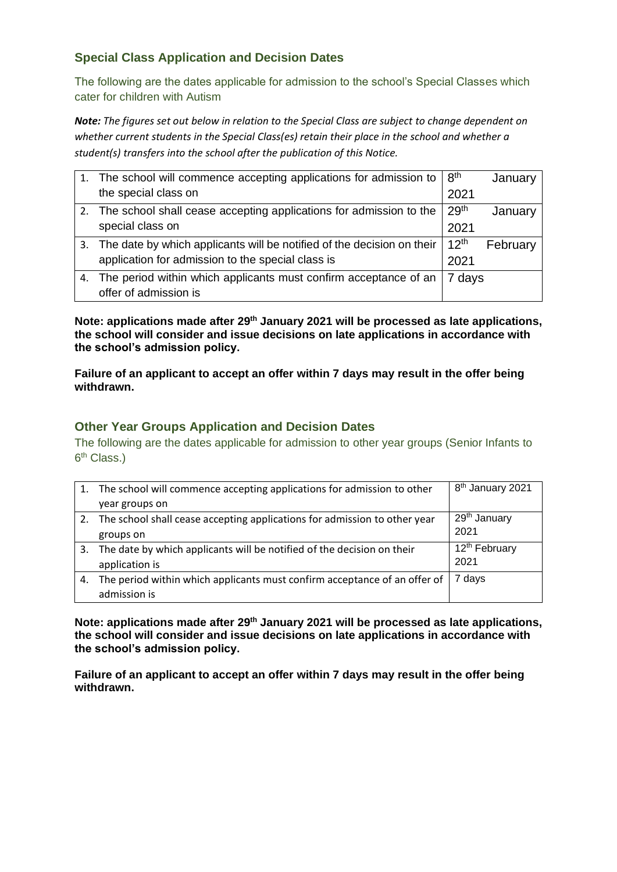### **Special Class Application and Decision Dates**

The following are the dates applicable for admission to the school's Special Classes which cater for children with Autism

*Note: The figures set out below in relation to the Special Class are subject to change dependent on whether current students in the Special Class(es) retain their place in the school and whether a student(s) transfers into the school after the publication of this Notice.*

|    | 1. The school will commence accepting applications for admission to       | 8 <sup>th</sup>  | January  |
|----|---------------------------------------------------------------------------|------------------|----------|
|    | the special class on                                                      | 2021             |          |
|    | 2. The school shall cease accepting applications for admission to the     | 29th             | January  |
|    | special class on                                                          | 2021             |          |
|    | 3. The date by which applicants will be notified of the decision on their | 12 <sup>th</sup> | February |
|    | application for admission to the special class is                         | 2021             |          |
| 4. | The period within which applicants must confirm acceptance of an          | 7 days           |          |
|    | offer of admission is                                                     |                  |          |

**Note: applications made after 29th January 2021 will be processed as late applications, the school will consider and issue decisions on late applications in accordance with the school's admission policy.**

**Failure of an applicant to accept an offer within 7 days may result in the offer being withdrawn.**

#### **Other Year Groups Application and Decision Dates**

The following are the dates applicable for admission to other year groups (Senior Infants to 6<sup>th</sup> Class.)

|    | 1. The school will commence accepting applications for admission to other    | 8 <sup>th</sup> January 2021 |
|----|------------------------------------------------------------------------------|------------------------------|
|    | year groups on                                                               |                              |
|    | 2. The school shall cease accepting applications for admission to other year | 29 <sup>th</sup> January     |
|    | groups on                                                                    | 2021                         |
| 3. | The date by which applicants will be notified of the decision on their       | 12 <sup>th</sup> February    |
|    | application is                                                               | 2021                         |
| 4. | The period within which applicants must confirm acceptance of an offer of    | 7 days                       |
|    | admission is                                                                 |                              |

**Note: applications made after 29th January 2021 will be processed as late applications, the school will consider and issue decisions on late applications in accordance with the school's admission policy.**

**Failure of an applicant to accept an offer within 7 days may result in the offer being withdrawn.**